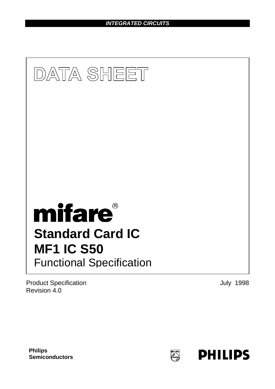*INTEGRATED CIRCUITS*



Product Specification **Department of the Contract Security 1998** Revision 4.0

**Philips Semiconductors**

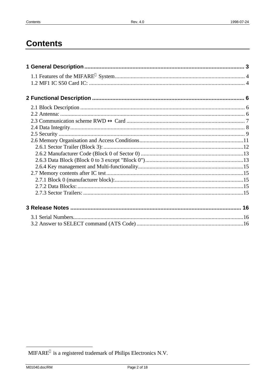## **Contents**

 $\text{MIFARE}^{\circledast}$  is a registered trademark of Philips Electronics N.V.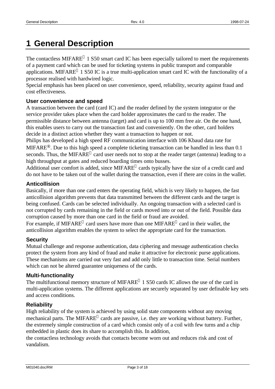# **1 General Description**

The contactless MIFARE $^{\circ}$  1 S50 smart card IC has been especially tailored to meet the requirements of a payment card which can be used for ticketing systems in public transport and comparable applications. MIFARE<sup>®</sup> 1 S50 IC is a true multi-application smart card IC with the functionality of a processor realised with hardwired logic.

Special emphasis has been placed on user convenience, speed, reliability, security against fraud and cost effectiveness.

#### **User convenience and speed**

A transaction between the card (card IC) and the reader defined by the system integrator or the service provider takes place when the card holder approximates the card to the reader. The permissible distance between antenna (target) and card is up to 100 mm free air. On the one hand, this enables users to carry out the transaction fast and conveniently. On the other, card holders decide in a distinct action whether they want a transaction to happen or not.

Philips has developed a high speed RF communication interface with 106 Kbaud data rate for MIFARE®. Due to this high speed a complete ticketing transaction can be handled in less than 0.1 seconds. Thus, the MIFARE<sup>®</sup> card user needs not to stop at the reader target (antenna) leading to a high throughput at gates and reduced boarding times onto busses.

Additional user comfort is added, since MIFARE® cards typically have the size of a credit card and do not have to be taken out of the wallet during the transaction, even if there are coins in the wallet.

#### **Anticollision**

Basically, if more than one card enters the operating field, which is very likely to happen, the fast anticollision algorithm prevents that data transmitted between the different cards and the target is being confused. Cards can be selected individually. An ongoing transaction with a selected card is not corrupted by cards remaining in the field or cards moved into or out of the field. Possible data corruption caused by more than one card in the field or fraud are avoided.

For example, if MIFARE<sup>®</sup> card users have more than one MIFARE<sup>®</sup> card in their wallet, the anticollision algorithm enables the system to select the appropriate card for the transaction.

#### **Security**

Mutual challenge and response authentication, data ciphering and message authentication checks protect the system from any kind of fraud and make it attractive for electronic purse applications. These mechanisms are carried out very fast and add only little to transaction time. Serial numbers which can not be altered guarantee uniqueness of the cards.

#### **Multi-functionality**

The multifunctional memory structure of MIFARE<sup>®</sup> 1 S50 cards IC allows the use of the card in multi-application systems. The different applications are securely separated by user definable key sets and access conditions.

#### **Reliability**

High reliability of the system is achieved by using solid state components without any moving mechanical parts. The MIFARE<sup>®</sup> cards are passive, i.e. they are working without battery. Further, the extremely simple construction of a card which consist only of a coil with few turns and a chip embedded in plastic does its share to accomplish this. In addition,

the contactless technology avoids that contacts become worn out and reduces risk and cost of vandalism.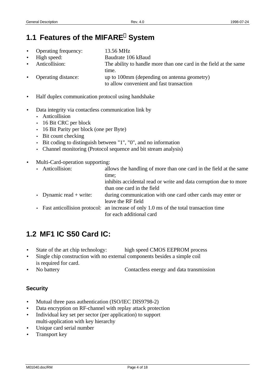## **1.1 Features of the MIFARE System**

- Operating frequency: 13.56 MHz
- 
- 

• High speed: Baudrate 106 kBaud Anticollision: The ability to handle more than one card in the field at the same time. • Operating distance: up to 100mm (depending on antenna geometry) to allow convenient and fast transaction

- Half duplex communication protocol using handshake
- Data integrity via contactless communication link by
	- Anticollision
	- 16 Bit CRC per block
	- 16 Bit Parity per block (one per Byte)
	- Bit count checking
	- Bit coding to distinguish between "1", "0", and no information
	- Channel monitoring (Protocol sequence and bit stream analysis)
- Multi-Card-operation supporting:

| allows the handling of more than one card in the field at the same                      |
|-----------------------------------------------------------------------------------------|
| time;                                                                                   |
| inhibits accidental read or write and data corruption due to more                       |
| than one card in the field                                                              |
| during communication with one card other cards may enter or                             |
| leave the RF field                                                                      |
| • Fast anticollision protocol: an increase of only 1.0 ms of the total transaction time |
| for each additional card                                                                |
| • Anticollision:<br>• Dynamic read $+$ write:                                           |

## **1.2 MF1 IC S50 Card IC:**

- State of the art chip technology: high speed CMOS EEPROM process
- Single chip construction with no external components besides a simple coil is required for card.
- No battery Contactless energy and data transmission

### **Security**

- Mutual three pass authentication (ISO/IEC DIS9798-2)
- Data encryption on RF-channel with replay attack protection
- Individual key set per sector (per application) to support multi-application with key hierarchy
- Unique card serial number
- Transport key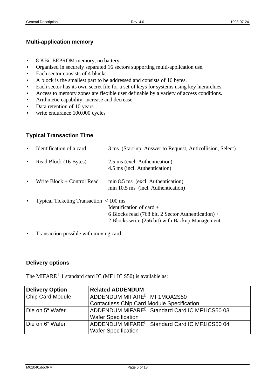#### **Multi-application memory**

- 8 KBit EEPROM memory, no battery,
- Organised in securely separated 16 sectors supporting multi-application use.
- Each sector consists of 4 blocks.
- A block is the smallest part to be addressed and consists of 16 bytes.
- Each sector has its own secret file for a set of keys for systems using key hierarchies.
- Access to memory zones are flexible user definable by a variety of access conditions.
- Arithmetic capability: increase and decrease
- Data retention of 10 years.
- write endurance 100.000 cycles

### **Typical Transaction Time**

| $\bullet$ | Identification of a card                                       | 3 ms (Start-up, Answer to Request, Anticollision, Select)                                                                           |
|-----------|----------------------------------------------------------------|-------------------------------------------------------------------------------------------------------------------------------------|
| $\bullet$ | Read Block (16 Bytes)                                          | 2.5 ms (excl. Authentication)<br>4.5 ms (incl. Authentication)                                                                      |
| $\bullet$ | Write $Block + Control$ Read                                   | min 8.5 ms (excl. Authentication)<br>min 10.5 ms (incl. Authentication)                                                             |
| $\bullet$ | Typical Ticketing Transaction $\langle 100 \text{ ms} \rangle$ | Identification of card $+$<br>6 Blocks read (768 bit, 2 Sector Authentication) +<br>2 Blocks write (256 bit) with Backup Management |

• Transaction possible with moving card

#### **Delivery options**

The MIFARE<sup>®</sup> 1 standard card IC (MF1 IC S50) is available as:

| <b>Delivery Option</b>  | <b>Related ADDENDUM</b>                                   |
|-------------------------|-----------------------------------------------------------|
| <b>Chip Card Module</b> | ADDENDUM MIFARE <sup>®</sup> MF1MOA2S50                   |
|                         | <b>Contactless Chip Card Module Specification</b>         |
| Die on 5" Wafer         | ADDENDUM MIFARE <sup>®</sup> Standard Card IC MF1ICS50 03 |
|                         | <b>Wafer Specification</b>                                |
| Die on 6" Wafer         | ADDENDUM MIFARE <sup>®</sup> Standard Card IC MF1ICS50 04 |
|                         | <b>Wafer Specification</b>                                |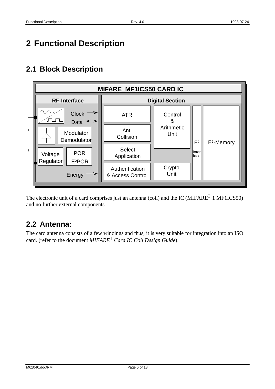## **2 Functional Description**

## **2.1 Block Description**



The electronic unit of a card comprises just an antenna (coil) and the IC (MIFARE $^{\circ}$  1 MF1ICS50) and no further external components.

## **2.2 Antenna:**

The card antenna consists of a few windings and thus, it is very suitable for integration into an ISO card. (refer to the document *MIFARE<sup>â</sup> Card IC Coil Design Guide*).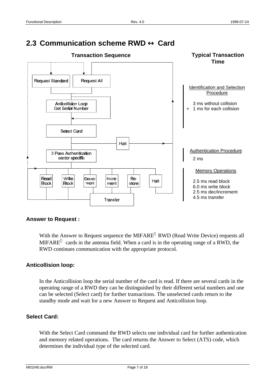## **2.3 Communication scheme RWD** ↔ **Card**



#### **Answer to Request :**

With the Answer to Request sequence the MIFARE<sup>®</sup> RWD (Read Write Device) requests all MIFARE $^{\circ}$  cards in the antenna field. When a card is in the operating range of a RWD, the RWD continues communication with the appropriate protocol.

#### **Anticollision loop:**

In the Anticollision loop the serial number of the card is read. If there are several cards in the operating range of a RWD they can be distinguished by their different serial numbers and one can be selected (Select card) for further transactions. The unselected cards return to the standby mode and wait for a new Answer to Request and Anticollision loop.

#### **Select Card:**

With the Select Card command the RWD selects one individual card for further authentication and memory related operations. The card returns the Answer to Select (ATS) code, which determines the individual type of the selected card.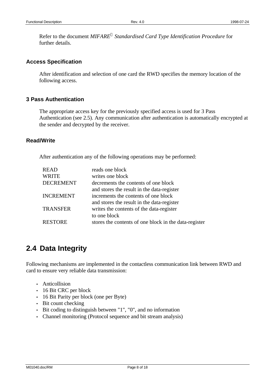Refer to the document *MIFARE<sup>â</sup> Standardised Card Type Identification Procedure* for further details.

#### **Access Specification**

After identification and selection of one card the RWD specifies the memory location of the following access.

#### **3 Pass Authentication**

The appropriate access key for the previously specified access is used for 3 Pass Authentication (see 2.5). Any communication after authentication is automatically encrypted at the sender and decrypted by the receiver.

#### **Read/Write**

After authentication any of the following operations may be performed:

| <b>READ</b>      | reads one block                                       |
|------------------|-------------------------------------------------------|
| <b>WRITE</b>     | writes one block                                      |
| <b>DECREMENT</b> | decrements the contents of one block                  |
|                  | and stores the result in the data-register            |
| <b>INCREMENT</b> | increments the contents of one block                  |
|                  | and stores the result in the data-register            |
| <b>TRANSFER</b>  | writes the contents of the data-register              |
|                  | to one block                                          |
| <b>RESTORE</b>   | stores the contents of one block in the data-register |

### **2.4 Data Integrity**

Following mechanisms are implemented in the contactless communication link between RWD and card to ensure very reliable data transmission:

- Anticollision
- 16 Bit CRC per block
- 16 Bit Parity per block (one per Byte)
- Bit count checking
- Bit coding to distinguish between "1", "0", and no information
- Channel monitoring (Protocol sequence and bit stream analysis)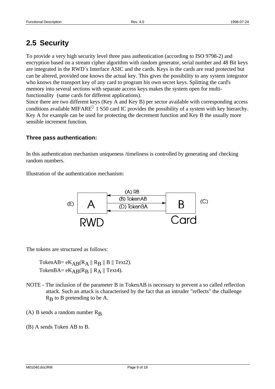## **2.5 Security**

To provide a very high security level three pass authentication (according to ISO 9798-2) and encryption based on a stream cipher algorithm with random generator, serial number and 48 Bit keys are integrated in the RWD`s Interface ASIC and the cards. Keys in the cards are read protected but can be altered, provided one knows the actual key. This gives the possibility to any system integrator who knows the transport key of any card to program his own secret keys. Splitting the card's memory into several sections with separate access keys makes the system open for multifunctionality (same cards for different applications).

Since there are two different keys (Key A and Key B) per sector available with corresponding access conditions available MIFARE<sup>®</sup> 1 S50 card IC provides the possibility of a system with key hierarchy. Key A for example can be used for protecting the decrement function and Key B the usually more sensible increment function.

#### **Three pass authentication:**

In this authentication mechanism uniqueness /timeliness is controlled by generating and checking random numbers.

Illustration of the authentication mechanism:



The tokens are structured as follows:

TokenAB=  $eK_{AB}(R_A \parallel R_B \parallel B \parallel Text2)$ . TokenBA=  $eK_{AB}(R_B \parallel R_A \parallel \text{Text4}).$ 

- NOTE The inclusion of the parameter B in TokenAB is necessary to prevent a so called reflection attack. Such an attack is characterised by the fact that an intruder "reflects" the challenge  $R_B$  to B pretending to be A.
- (A) B sends a random number  $R_B$
- (B) A sends Token AB to B.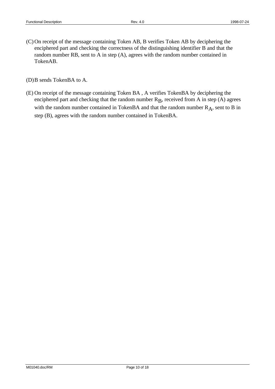(C)On receipt of the message containing Token AB, B verifies Token AB by deciphering the enciphered part and checking the correctness of the distinguishing identifier B and that the random number RB, sent to A in step (A), agrees with the random number contained in TokenAB.

(D)B sends TokenBA to A.

(E) On receipt of the message containing Token BA , A verifies TokenBA by deciphering the enciphered part and checking that the random number  $R<sub>B</sub>$ , received from A in step (A) agrees with the random number contained in TokenBA and that the random number  $R_A$ , sent to B in step (B), agrees with the random number contained in TokenBA.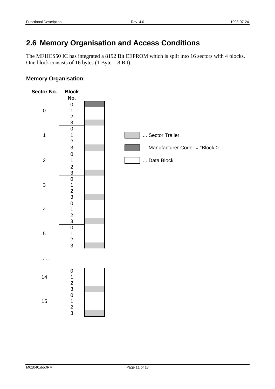## **2.6 Memory Organisation and Access Conditions**

The MF1ICS50 IC has integrated a 8192 Bit EEPROM which is split into 16 sectors with 4 blocks. One block consists of 16 bytes (1 Byte  $= 8$  Bit).

#### **Memory Organisation:**

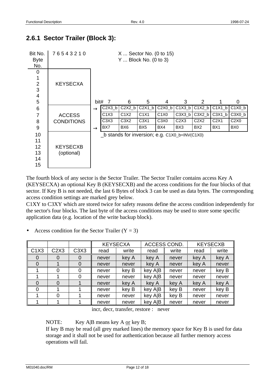### **2.6.1 Sector Trailer (Block 3):**



The fourth block of any sector is the Sector Trailer. The Sector Trailer contains access Key A (KEYSECXA) an optional Key B (KEYSECXB) and the access conditions for the four blocks of that sector. If Key B is not needed, the last 6 Bytes of block 3 can be used as data bytes. The corresponding access condition settings are marked grey below.

C1XY to C3XY which are stored twice for safety reasons define the access condition independently for the sector's four blocks. The last byte of the access conditions may be used to store some specific application data (e.g. location of the write backup block).

• Access condition for the Sector Trailer  $(Y = 3)$ 

|                               |      |                               | <b>KEYSECXA</b> |       | ACCESS COND. |       | <b>KEYSECXB</b> |       |  |
|-------------------------------|------|-------------------------------|-----------------|-------|--------------|-------|-----------------|-------|--|
| C <sub>1</sub> X <sub>3</sub> | C2X3 | C <sub>3</sub> X <sub>3</sub> | read            | write | read         | write | read            | write |  |
| 0                             |      | 0                             | never           | key A | key A        | never | key A           | key A |  |
| 0                             |      |                               | never           | never | key A        | never | key A           | never |  |
|                               |      | 0                             | never           | key B | key A B      | never | never           | key B |  |
|                               |      | 0                             | never           | never | key A B      | never | never           | never |  |
| $\Omega$                      |      |                               | never           | key A | key A        | key A | key A           | key A |  |
| 0                             |      |                               | never           | key B | key A B      | key B | never           | key B |  |
|                               |      |                               | never           | never | key A B      | key B | never           | never |  |
|                               |      |                               | never           | never | key A B      | never | never           | never |  |

incr, decr, transfer, restore : never

NOTE: Key  $A|B$  means key  $A \underline{or}$  key  $B$ ;

If key B may be read (all grey marked lines) the memory space for Key B is used for data storage and it shall not be used for authentication because all further memory access operations will fail.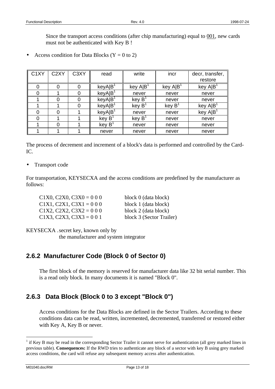Since the transport access conditions (after chip manufacturing) equal to  $0.01$ , new cards must not be authenticated with Key B !

Access condition for Data Blocks ( $Y = 0$  to 2)

| C <sub>1</sub> XY | C <sub>2</sub> XY | C <sub>3</sub> XY | read       | write              | incr                      | decr, transfer,<br>restore |
|-------------------|-------------------|-------------------|------------|--------------------|---------------------------|----------------------------|
|                   |                   |                   |            |                    |                           |                            |
|                   |                   | 0                 | $keyA B^1$ | key $A B^1$        | $key$ A $ B$ <sup>3</sup> | key A B                    |
| ი                 |                   | 0                 | keyA B     | never              | never                     | never                      |
|                   |                   | $\Omega$          | keyA B     | key B              | never                     | never                      |
|                   |                   | 0                 | keyA B     | key B              | key B <sup>1</sup>        | key AIB                    |
|                   |                   |                   | keyA B     | never              | never                     | key AIB                    |
|                   |                   |                   | key B'     | key B <sup>1</sup> | never                     | never                      |
|                   | ი                 |                   | key $B^1$  | never              | never                     | never                      |
|                   |                   |                   | never      | never              | never                     | never                      |

The process of decrement and increment of a block's data is performed and controlled by the Card-IC.

• Transport code

For transportation, KEYSECXA and the access conditions are predefined by the manufacturer as follows:

| $C1X0, C2X0, C3X0 = 000$ | block 0 (data block)     |
|--------------------------|--------------------------|
| $C1X1, C2X1, C3X1 = 000$ | block 1 (data block)     |
| $C1X2, C2X2, C3X2 = 000$ | block 2 (data block)     |
| $C1X3, C2X3, C3X3 = 001$ | block 3 (Sector Trailer) |

KEYSECXA .secret key, known only by

the manufacturer and system integrator

### **2.6.2 Manufacturer Code (Block 0 of Sector 0)**

The first block of the memory is reserved for manufacturer data like 32 bit serial number. This is a read only block. In many documents it is named "Block 0".

### **2.6.3 Data Block (Block 0 to 3 except "Block 0")**

Access conditions for the Data Blocks are defined in the Sector Trailers. According to these conditions data can be read, written, incremented, decremented, transferred or restored either with Key A, Key B or never.

 $\overline{a}$ 

<sup>&</sup>lt;sup>1</sup> if Key B may be read in the corresponding Sector Trailer it cannot serve for authentication (all grey marked lines in previous table). **Consequences:** If the RWD tries to authenticate any block of a sector with key B using grey marked access conditions, the card will refuse any subsequent memory access after authentication.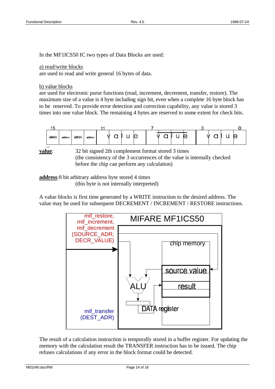In the MF1ICS50 IC two types of Data Blocks are used:

#### a) read/write blocks

are used to read and write general 16 bytes of data.

#### b) value blocks

are used for electronic purse functions (read, increment, decrement, transfer, restore). The maximum size of a value is 4 byte including sign bit, even when a complete 16 byte block has to be reserved. To provide error detection and correction capability, any value is stored 3 times into one value block. The remaining 4 bytes are reserved to some extent for check bits.



**value**: 32 bit signed 2th complement format stored 3 times (the consistency of the 3 occurrences of the value is internally checked before the chip can perform any calculation)

**address**:8 bit arbitrary address byte stored 4 times (this byte is not internally interpreted)

A value blocks is first time generated by a WRITE instruction to the desired address. The value may be used for subsequent DECREMENT / INCREMENT / RESTORE instructions.



The result of a calculation instruction is temporally stored in a buffer register. For updating the memory with the calculation result the TRANSFER instruction has to be issued. The chip refuses calculations if any error in the block format could be detected.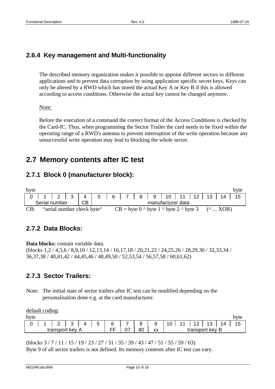### **2.6.4 Key management and Multi-functionality**

The described memory organization makes it possible to appoint different sectors to different applications and to prevent data corruption by using application specific secret keys. Keys can only be altered by a RWD which has stored the actual Key A or Key B if this is allowed according to access conditions. Otherwise the actual key cannot be changed anymore.

#### Note:

Before the execution of a command the correct format of the Access Conditions is checked by the Card-IC. Thus, when programming the Sector Trailer the card needs to be fixed within the operating range of a RWD's antenna to prevent interruption of the write operation because any unsuccessful write operation may lead to blocking the whole sector.

### **2.7 Memory contents after IC test**

### **2.7.1 Block 0 (manufacturer block):**

| byte |               |                            |  |                                                                 |                   |  |  |  |  |                                                   |  |  |  | byte |
|------|---------------|----------------------------|--|-----------------------------------------------------------------|-------------------|--|--|--|--|---------------------------------------------------|--|--|--|------|
|      |               |                            |  | 1   2   3   4   5   6   7   8   9   10   11   12   13   14   15 |                   |  |  |  |  |                                                   |  |  |  |      |
|      | Serial number |                            |  |                                                                 | manufacturer data |  |  |  |  |                                                   |  |  |  |      |
| CB:  |               | "serial number check byte" |  |                                                                 |                   |  |  |  |  | $CB = byte 0$ ^ byte 1 ^ byte 2 ^ byte 3 (^  XOR) |  |  |  |      |

### **2.7.2 Data Blocks:**

**Data blocks:** contain variable data.

(blocks 1,2 / 4,5,6 / 8,9,10 / 12,13,14 / 16,17,18 / 20,21,22 / 24,25,26 / 28,29,30 / 32,33,34 / 36,37,38 / 40,41,42 / 44,45,46 / 48,49,50 / 52,53,54 / 56,57,58 / 60,61,62)

### **2.7.3 Sector Trailers:**

Note: The initial state of sector trailers after IC test can be modified depending on the personalisation done e.g. at the card manufacturer.

| default coding: |                 |     |   |    |    |    |    |    |                 |      |
|-----------------|-----------------|-----|---|----|----|----|----|----|-----------------|------|
| byte            |                 |     |   |    |    |    |    |    |                 | byte |
|                 |                 | ્રવ | 5 | 6  |    |    | 10 | 12 | 13              |      |
|                 | transport key A |     |   | FF | 80 | XX |    |    | transport key B |      |

(blocks 3 / 7 / 11 / 15 / 19 / 23 / 27 / 31 / 35 / 39 / 43 / 47 / 51 / 55 / 59 / 63)

Byte 9 of all sector trailers is not defined. Its memory contents after IC test can vary.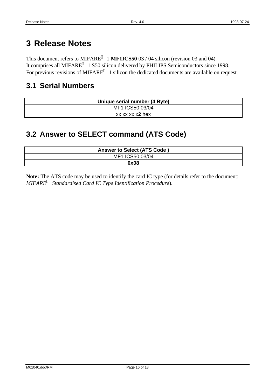## **3 Release Notes**

This document refers to  $MIFARE^{\circledcirc}$  1 **MF1ICS50** 03 / 04 silicon (revision 03 and 04). It comprises all MIFARE $^{\circ}$  1 S50 silicon delivered by PHILIPS Semiconductors since 1998. For previous revisions of MIFARE<sup>®</sup> 1 silicon the dedicated documents are available on request.

### **3.1 Serial Numbers**

| Unique serial number (4 Byte) |
|-------------------------------|
| MF1 ICS50 03/04               |
| xx xx xx x2 hex               |

### **3.2 Answer to SELECT command (ATS Code)**

| <b>Answer to Select (ATS Code)</b> |
|------------------------------------|
| MF1 ICS50 03/04                    |
| 0x08                               |

**Note:** The ATS code may be used to identify the card IC type (for details refer to the document: *MIFARE<sup>â</sup> Standardised Card IC Type Identification Procedure*).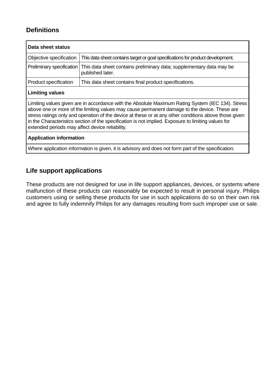### **Definitions**

| Data sheet status                                                                                                                                                                                                                                                                                                                                                                                                                                                    |                                                                                          |
|----------------------------------------------------------------------------------------------------------------------------------------------------------------------------------------------------------------------------------------------------------------------------------------------------------------------------------------------------------------------------------------------------------------------------------------------------------------------|------------------------------------------------------------------------------------------|
| Objective specification                                                                                                                                                                                                                                                                                                                                                                                                                                              | This data sheet contains target or goal specifications for product development.          |
| Preliminary specification                                                                                                                                                                                                                                                                                                                                                                                                                                            | This data sheet contains preliminary data; supplementary data may be<br>published later. |
| Product specification                                                                                                                                                                                                                                                                                                                                                                                                                                                | This data sheet contains final product specifications.                                   |
| <b>Limiting values</b>                                                                                                                                                                                                                                                                                                                                                                                                                                               |                                                                                          |
| Limiting values given are in accordance with the Absolute Maximum Rating System (IEC 134). Stress<br>above one or more of the limiting values may cause permanent damage to the device. These are<br>stress ratings only and operation of the device at these or at any other conditions above those given<br>in the Characteristics section of the specification is not implied. Exposure to limiting values for<br>extended periods may affect device reliability. |                                                                                          |
| <b>Application information</b>                                                                                                                                                                                                                                                                                                                                                                                                                                       |                                                                                          |
| Where application information is given, it is advisory and does not form part of the specification.                                                                                                                                                                                                                                                                                                                                                                  |                                                                                          |

### **Life support applications**

These products are not designed for use in life support appliances, devices, or systems where malfunction of these products can reasonably be expected to result in personal injury. Philips customers using or selling these products for use in such applications do so on their own risk and agree to fully indemnify Philips for any damages resulting from such improper use or sale.